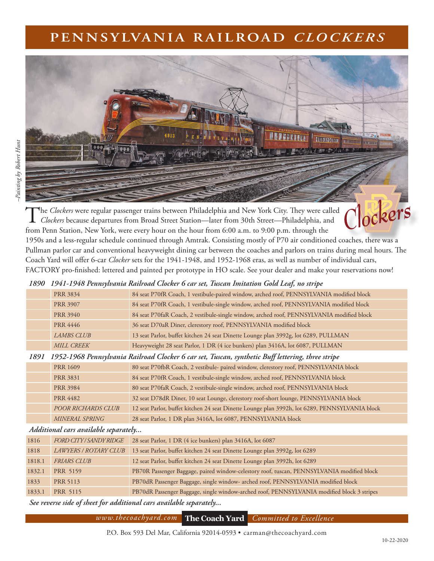# **PENNSYLVANIA RAILROAD** *CLOCKERS*

**ELENTROPHOL** 

ockers

Painting by Robert Hunt *–Painting by Robert Hunt*



1950s and a less-regular schedule continued through Amtrak. Consisting mostly of P70 air conditioned coaches, there was a Pullman parlor car and conventional heavyweight dining car between the coaches and parlors on trains during meal hours. The Coach Yard will offer 6-car *Clocker* sets for the 1941-1948, and 1952-1968 eras, as well as number of individual cars, FACTORY pro-finished: lettered and painted per prototype in HO scale. See your dealer and make your reservations now!

### *1890 1941-1948 Pennsylvania Railroad Clocker 6 car set, Tuscan Imitation Gold Leaf, no stripe*

|      | 1) 11 1) 10 1 0 mm premient tweet once Groener 6 can see, Internet interested Gottle Benefy to set the |                                                                                                |  |  |
|------|--------------------------------------------------------------------------------------------------------|------------------------------------------------------------------------------------------------|--|--|
|      | <b>PRR 3834</b>                                                                                        | 84 seat P70fR Coach, 1 vestibule-paired window, arched roof, PENNSYLVANIA modified block       |  |  |
|      | <b>PRR 3907</b>                                                                                        | 84 seat P70fR Coach, 1 vestibule-single window, arched roof, PENNSYLVANIA modified block       |  |  |
|      | <b>PRR 3940</b>                                                                                        | 84 seat P70faR Coach, 2 vestibule-single window, arched roof, PENNSYLVANIA modified block      |  |  |
|      | <b>PRR 4446</b>                                                                                        | 36 seat D70aR Diner, clerestory roof, PENNSYLVANIA modified block                              |  |  |
|      | <b>LAMBS CLUB</b>                                                                                      | 13 seat Parlor, buffet kitchen 24 seat Dinette Lounge plan 3992g, lot 6289, PULLMAN            |  |  |
|      | <b>MILL CREEK</b>                                                                                      | Heavyweight 28 seat Parlor, 1 DR (4 ice bunkers) plan 3416A, lot 6087, PULLMAN                 |  |  |
| 1891 | 1952-1968 Pennsylvania Railroad Clocker 6 car set, Tuscan, synthetic Buff lettering, three stripe      |                                                                                                |  |  |
|      | <b>PRR 1609</b>                                                                                        | 80 seat P70fbR Coach, 2 vestibule- paired window, clerestory roof, PENNSYLVANIA block          |  |  |
|      | <b>PRR 3831</b>                                                                                        | 84 seat P70fR Coach, 1 vestibule-single window, arched roof, PENNSYLVANIA block                |  |  |
|      | <b>PRR 3984</b>                                                                                        | 80 seat P70faR Coach, 2 vestibule-single window, arched roof, PENNSYLVANIA block               |  |  |
|      | <b>PRR 4482</b>                                                                                        | 32 seat D78dR Diner, 10 seat Lounge, clerestory roof-short lounge, PENNSYLVANIA block          |  |  |
|      | POOR RICHARDS CLUB                                                                                     | 12 seat Parlor, buffet kitchen 24 seat Dinette Lounge plan 3992h, lot 6289, PENNSYLVANIA block |  |  |
|      | MINERAL SPRING                                                                                         | 28 seat Parlor, 1 DR plan 3416A, lot 6087, PENNSYLVANIA block                                  |  |  |
|      |                                                                                                        |                                                                                                |  |  |

#### *Additional cars available separately...*

| 1816   | FORD CITY/SANDY RIDGE | 28 seat Parlor, 1 DR (4 ice bunkers) plan 3416A, lot 6087                                  |
|--------|-----------------------|--------------------------------------------------------------------------------------------|
| 1818   | LAWYERS / ROTARY CLUB | 13 seat Parlor, buffet kitchen 24 seat Dinette Lounge plan 3992g, lot 6289                 |
| 1818.1 | FRIARS CLUB           | 12 seat Parlor, buffet kitchen 24 seat Dinette Lounge plan 3992h, lot 6289                 |
| 1832.1 | PRR 5159              | PB70R Passenger Baggage, paired window-celestory roof, tuscan, PENNSYLVANIA modified block |
| 1833   | <b>PRR 5113</b>       | PB70dR Passenger Baggage, single window- arched roof, PENNSYLVANIA modified block          |
| 1833.1 | PRR 5115              | PB70dR Passenger Baggage, single window-arched roof, PENNSYLVANIA modified block 3 stripes |

 *See reverse side of sheet for additional cars available separately...*

### *www.thecoachyard.com* **The Coach Yard** *Committed to Excellence*